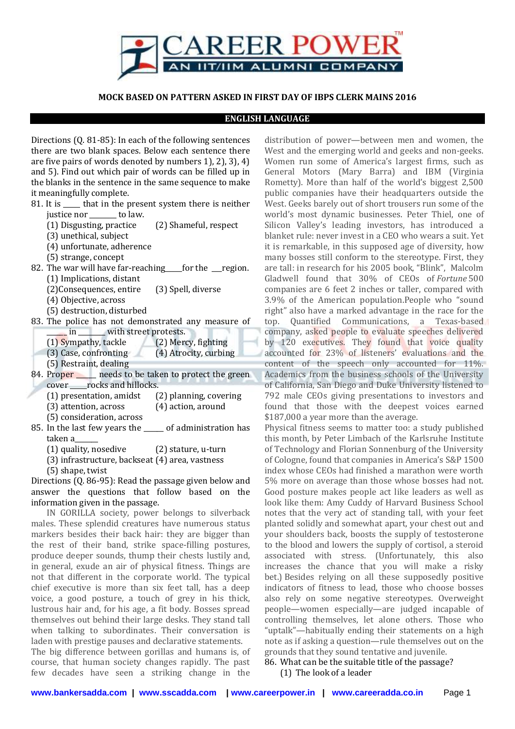

### **MOCK BASED ON PATTERN ASKED IN FIRST DAY OF IBPS CLERK MAINS 2016**

#### **ENGLISH LANGUAGE**

Directions (Q. 81-85): In each of the following sentences there are two blank spaces. Below each sentence there are five pairs of words denoted by numbers 1), 2), 3), 4) and 5). Find out which pair of words can be filled up in the blanks in the sentence in the same sequence to make it meaningfully complete.

- 81. It is <u>equilible</u> that in the present system there is neither justice nor \_\_\_\_\_\_\_\_ to law.
	- (1) Disgusting, practice (2) Shameful, respect
	- (3) unethical, subject
	- (4) unfortunate, adherence
	- (5) strange, concept
- 82. The war will have far-reaching for the region. (1) Implications, distant
	- (2)Consequences, entire (3) Spell, diverse
	- (4) Objective, across
	- (5) destruction, disturbed
- 83. The police has not demonstrated any measure of \_\_\_\_\_\_ in \_\_\_\_\_\_\_\_ with street protests.
	- (1) Sympathy, tackle (2) Mercy, fighting
	- (3) Case, confronting (4) Atrocity, curbing
	- (5) Restraint, dealing
- 84. Proper same needs to be taken to protect the green cover \_\_\_\_\_rocks and hillocks.
	- (1) presentation, amidst (2) planning, covering
	- (3) attention, across (4) action, around
	- (5) consideration, across
- 85. In the last few years the \_\_\_\_\_\_ of administration has taken a\_\_\_\_\_\_\_
	- (1) quality, nosedive (2) stature, u-turn
	- (3) infrastructure, backseat (4) area, vastness
	- (5) shape, twist

Directions (Q. 86-95): Read the passage given below and answer the questions that follow based on the information given in the passage.

IN GORILLA society, power belongs to silverback males. These splendid creatures have numerous status markers besides their back hair: they are bigger than the rest of their band, strike space-filling postures, produce deeper sounds, thump their chests lustily and, in general, exude an air of physical fitness. Things are not that different in the corporate world. The typical chief executive is more than six feet tall, has a deep voice, a good posture, a touch of grey in his thick, lustrous hair and, for his age, a fit body. Bosses spread themselves out behind their large desks. They stand tall when talking to subordinates. Their conversation is laden with prestige pauses and declarative statements.

The big difference between gorillas and humans is, of course, that human society changes rapidly. The past few decades have seen a striking change in the

distribution of power—between men and women, the West and the emerging world and geeks and non-geeks. Women run some of America's largest firms, such as General Motors (Mary Barra) and IBM (Virginia Rometty). More than half of the world's biggest 2,500 public companies have their headquarters outside the West. Geeks barely out of short trousers run some of the world's most dynamic businesses. Peter Thiel, one of Silicon Valley's leading investors, has introduced a blanket rule: never invest in a CEO who wears a suit. Yet it is remarkable, in this supposed age of diversity, how many bosses still conform to the stereotype. First, they are tall: in research for his 2005 book, "Blink", Malcolm Gladwell found that 30% of CEOs of *Fortune* 500 companies are 6 feet 2 inches or taller, compared with 3.9% of the American population.People who "sound right" also have a marked advantage in the race for the top. Quantified Communications, a Texas-based company, asked people to evaluate speeches delivered by 120 executives. They found that voice quality accounted for 23% of listeners' evaluations and the content of the speech only accounted for 11%. Academics from the business schools of the University of California, San Diego and Duke University listened to 792 male CEOs giving presentations to investors and found that those with the deepest voices earned \$187,000 a year more than the average.

Physical fitness seems to matter too: a study published this month, by Peter Limbach of the Karlsruhe Institute of Technology and Florian Sonnenburg of the University of Cologne, found that companies in America's S&P 1500 index whose CEOs had finished a marathon were worth 5% more on average than those whose bosses had not. Good posture makes people act like leaders as well as look like them: Amy Cuddy of Harvard Business School notes that the very act of standing tall, with your feet planted solidly and somewhat apart, your chest out and your shoulders back, boosts the supply of testosterone to the blood and lowers the supply of cortisol, a steroid associated with stress. (Unfortunately, this also increases the chance that you will make a risky bet.) Besides relying on all these supposedly positive indicators of fitness to lead, those who choose bosses also rely on some negative stereotypes. Overweight people—women especially—are judged incapable of controlling themselves, let alone others. Those who "uptalk"—habitually ending their statements on a high note as if asking a question—rule themselves out on the grounds that they sound tentative and juvenile.

# 86. What can be the suitable title of the passage?

(1) The look of a leader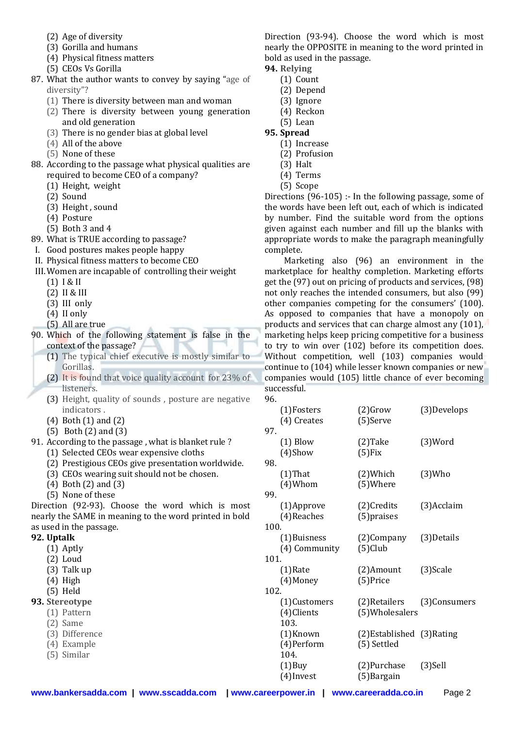- (2) Age of diversity
- (3) Gorilla and humans
- (4) Physical fitness matters
- (5) CEOs Vs Gorilla
- 87. What the author wants to convey by saying "age of diversity"?
	- (1) There is diversity between man and woman
	- (2) There is diversity between young generation and old generation
	- (3) There is no gender bias at global level
	- (4) All of the above
	- (5) None of these
- 88. According to the passage what physical qualities are required to become CEO of a company?
	- (1) Height, weight
	- (2) Sound
	- (3) Height , sound
	- (4) Posture
	- (5) Both 3 and 4
- 89. What is TRUE according to passage?
- I. Good postures makes people happy
- II. Physical fitness matters to become CEO
- III.Women are incapable of controlling their weight
	- (1) I & II
	- (2) II & III
	- (3) III only
	- (4) II only
	- (5) All are true
- 90. Which of the following statement is false in the context of the passage?
	- (1) The typical chief executive is mostly similar to Gorillas.
		- (2) It is found that voice quality account for 23% of listeners.
		- (3) Height, quality of sounds , posture are negative indicators .
		- (4) Both (1) and (2)
		- (5) Both (2) and (3)
- 91. According to the passage , what is blanket rule ? (1) Selected CEOs wear expensive cloths
	- (2) Prestigious CEOs give presentation worldwide.
	- (3) CEOs wearing suit should not be chosen.
	- (4) Both (2) and (3)
	- (5) None of these

Direction (92-93). Choose the word which is most nearly the SAME in meaning to the word printed in bold as used in the passage.

### **92. Uptalk**

- (1) Aptly
- (2) Loud
- (3) Talk up
- (4) High
- (5) Held

## **93. Stereotype**

- (1) Pattern
- (2) Same
- (3) Difference
- (4) Example
- (5) Similar

Direction (93-94). Choose the word which is most nearly the OPPOSITE in meaning to the word printed in bold as used in the passage.

- **94. Relying**
	- (1) Count
	- (2) Depend
	- (3) Ignore
	- (4) Reckon
- (5) Lean **95. Spread**
	- (1) Increase
	- (2) Profusion
	- (3) Halt
	- (4) Terms
	- (5) Scope

Directions (96-105) :- In the following passage, some of the words have been left out, each of which is indicated by number. Find the suitable word from the options given against each number and fill up the blanks with appropriate words to make the paragraph meaningfully complete.

Marketing also (96) an environment in the marketplace for healthy completion. Marketing efforts get the (97) out on pricing of products and services, (98) not only reaches the intended consumers, but also (99) other companies competing for the consumers' (100). As opposed to companies that have a monopoly on products and services that can charge almost any (101), marketing helps keep pricing competitive for a business to try to win over (102) before its competition does. Without competition, well (103) companies would continue to (104) while lesser known companies or new companies would (105) little chance of ever becoming successful.

| 96.  |               |                            |              |
|------|---------------|----------------------------|--------------|
|      | (1)Fosters    | $(2)$ Grow                 | (3) Develops |
|      | (4) Creates   | (5)Serve                   |              |
| 97.  |               |                            |              |
|      | $(1)$ Blow    | $(2)$ Take                 | (3)Word      |
|      | $(4)$ Show    | (5) Fix                    |              |
| 98.  |               |                            |              |
|      | $(1)$ That    | (2)Which                   | $(3)$ Who    |
|      | $(4)$ Whom    | (5)Where                   |              |
| 99.  |               |                            |              |
|      | (1)Approve    | (2) Credits                | (3)Acclaim   |
|      | (4) Reaches   | (5) praises                |              |
| 100. |               |                            |              |
|      | (1) Buisness  | (2)Company                 | (3) Details  |
|      | (4) Community | $(5)$ Club                 |              |
| 101. |               |                            |              |
|      | (1)Rate       | (2)Amount                  | (3)Scale     |
|      | (4) Money     | (5) Price                  |              |
| 102. |               |                            |              |
|      | (1)Customers  | (2)Retailers               | (3)Consumers |
|      | (4) Clients   | (5) Wholesalers            |              |
|      | 103.          |                            |              |
|      | (1)Known      | (2) Established (3) Rating |              |
|      | (4) Perform   | (5) Settled                |              |
|      | 104.          |                            |              |
|      | $(1)$ Buy     | (2)Purchase                | $(3)$ Sell   |
|      | (4)Invest     | (5)Bargain                 |              |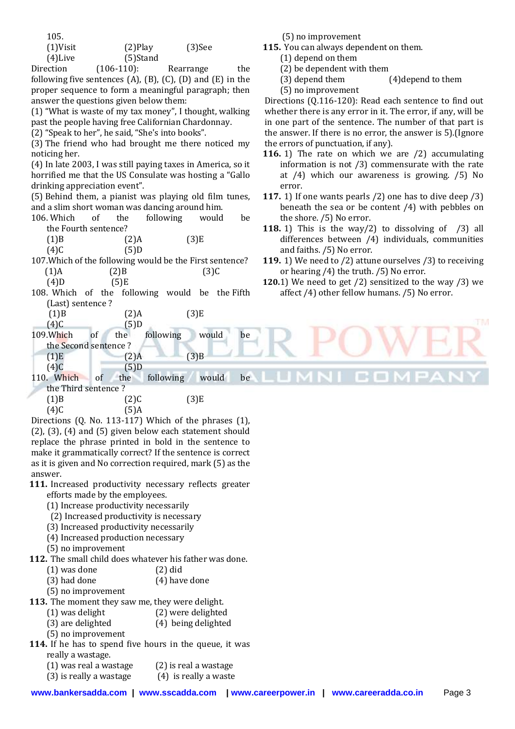| 105.        |             |           |  |
|-------------|-------------|-----------|--|
| $(1)$ Visit | $(2)$ Play  | $(3)$ See |  |
| $(4)$ Live  | $(5)$ Stand |           |  |

Direction (106-110): Rearrange the following five sentences  $(A)$ ,  $(B)$ ,  $(C)$ ,  $(D)$  and  $(E)$  in the proper sequence to form a meaningful paragraph; then answer the questions given below them:

(1) "What is waste of my tax money", I thought, walking past the people having free Californian Chardonnay.

(2) "Speak to her", he said, "She's into books".

(3) The friend who had brought me there noticed my noticing her.

(4) In late 2003, I was still paying taxes in America, so it horrified me that the US Consulate was hosting a "Gallo drinking appreciation event".

(5) Behind them, a pianist was playing old film tunes, and a slim short woman was dancing around him.

| 106. Which of        | the     | following | would | he |
|----------------------|---------|-----------|-------|----|
| the Fourth sentence? |         |           |       |    |
| (1)B                 | $(2)$ A |           | (3)E  |    |

 $(4)C$  (5)D

107.Which of the following would be the First sentence?  $(1)$ A  $(2)$ B  $(3)$ C

 $(4)D$  (5)E

108. Which of the following would be the Fifth (Last) sentence ?

| (1)B | $(2)$ A | (3)E |
|------|---------|------|
|      |         |      |

- $(4)C$  (5)D
- 109.Which of the following would be the Second sentence ?  $(1)E$   $(2)A$   $(3)B$
- $(4)C$  (5)D

110. Which of the following would be

the Third sentence ?  $(1)B$   $(2)C$   $(3)E$ 

 $(4)C$  (5)A

Directions (Q. No. 113-117) Which of the phrases (1), (2), (3), (4) and (5) given below each statement should replace the phrase printed in bold in the sentence to make it grammatically correct? If the sentence is correct as it is given and No correction required, mark (5) as the answer.

**111.** Increased productivity necessary reflects greater efforts made by the employees.

- (1) Increase productivity necessarily
- (2) Increased productivity is necessary
- (3) Increased productivity necessarily
- (4) Increased production necessary
- (5) no improvement
- **112.** The small child does whatever his father was done.
	- (1) was done (2) did
	- (3) had done (4) have done
	- (5) no improvement

**113.** The moment they saw me, they were delight.

(1) was delight (2) were delighted

(3) are delighted (4) being delighted

- (5) no improvement
- **114.** If he has to spend five hours in the queue, it was really a wastage.
	- $(1)$  was real a wastage  $(2)$  is real a wastage
	- (3) is really a wastage (4) is really a waste

(5) no improvement

**115.** You can always dependent on them.

- (1) depend on them
- (2) be dependent with them
- (3) depend them (4)depend to them
- (5) no improvement

Directions (Q.116-120): Read each sentence to find out whether there is any error in it. The error, if any, will be in one part of the sentence. The number of that part is the answer. If there is no error, the answer is 5).(Ignore the errors of punctuation, if any).

- **116.** 1) The rate on which we are /2) accumulating information is not /3) commensurate with the rate at /4) which our awareness is growing. /5) No error.
- **117.** 1) If one wants pearls /2) one has to dive deep /3) beneath the sea or be content /4) with pebbles on the shore. /5) No error.
- **118.** 1) This is the way/2) to dissolving of /3) all differences between /4) individuals, communities and faiths. /5) No error.
- **119.** 1) We need to /2) attune ourselves /3) to receiving or hearing /4) the truth. /5) No error.
- **120.**1) We need to get /2) sensitized to the way /3) we affect /4) other fellow humans. /5) No error.

**The Co** 

ŦΜ